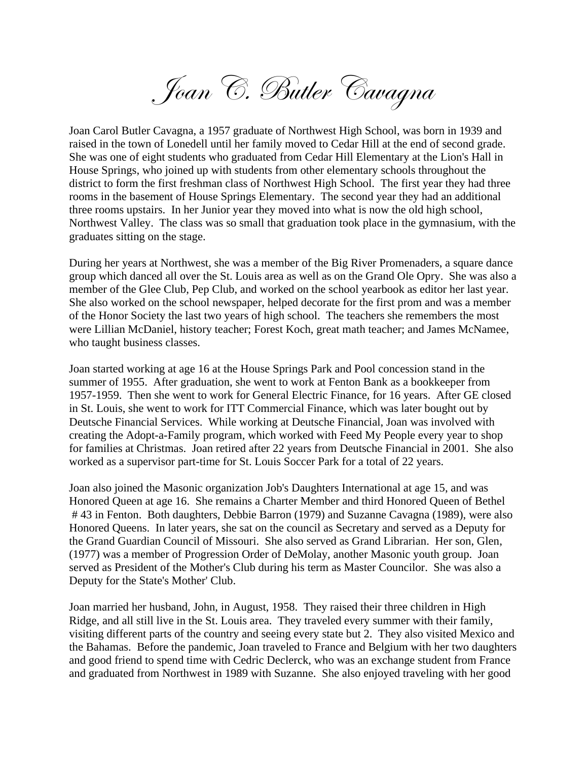Joan C. Butler Cavagna

Joan Carol Butler Cavagna, a 1957 graduate of Northwest High School, was born in 1939 and raised in the town of Lonedell until her family moved to Cedar Hill at the end of second grade. She was one of eight students who graduated from Cedar Hill Elementary at the Lion's Hall in House Springs, who joined up with students from other elementary schools throughout the district to form the first freshman class of Northwest High School. The first year they had three rooms in the basement of House Springs Elementary. The second year they had an additional three rooms upstairs. In her Junior year they moved into what is now the old high school, Northwest Valley. The class was so small that graduation took place in the gymnasium, with the graduates sitting on the stage.

During her years at Northwest, she was a member of the Big River Promenaders, a square dance group which danced all over the St. Louis area as well as on the Grand Ole Opry. She was also a member of the Glee Club, Pep Club, and worked on the school yearbook as editor her last year. She also worked on the school newspaper, helped decorate for the first prom and was a member of the Honor Society the last two years of high school. The teachers she remembers the most were Lillian McDaniel, history teacher; Forest Koch, great math teacher; and James McNamee, who taught business classes.

Joan started working at age 16 at the House Springs Park and Pool concession stand in the summer of 1955. After graduation, she went to work at Fenton Bank as a bookkeeper from 1957-1959. Then she went to work for General Electric Finance, for 16 years. After GE closed in St. Louis, she went to work for ITT Commercial Finance, which was later bought out by Deutsche Financial Services. While working at Deutsche Financial, Joan was involved with creating the Adopt-a-Family program, which worked with Feed My People every year to shop for families at Christmas. Joan retired after 22 years from Deutsche Financial in 2001. She also worked as a supervisor part-time for St. Louis Soccer Park for a total of 22 years.

Joan also joined the Masonic organization Job's Daughters International at age 15, and was Honored Queen at age 16. She remains a Charter Member and third Honored Queen of Bethel # 43 in Fenton. Both daughters, Debbie Barron (1979) and Suzanne Cavagna (1989), were also Honored Queens. In later years, she sat on the council as Secretary and served as a Deputy for the Grand Guardian Council of Missouri. She also served as Grand Librarian. Her son, Glen, (1977) was a member of Progression Order of DeMolay, another Masonic youth group. Joan served as President of the Mother's Club during his term as Master Councilor. She was also a Deputy for the State's Mother' Club.

Joan married her husband, John, in August, 1958. They raised their three children in High Ridge, and all still live in the St. Louis area. They traveled every summer with their family, visiting different parts of the country and seeing every state but 2. They also visited Mexico and the Bahamas. Before the pandemic, Joan traveled to France and Belgium with her two daughters and good friend to spend time with Cedric Declerck, who was an exchange student from France and graduated from Northwest in 1989 with Suzanne. She also enjoyed traveling with her good